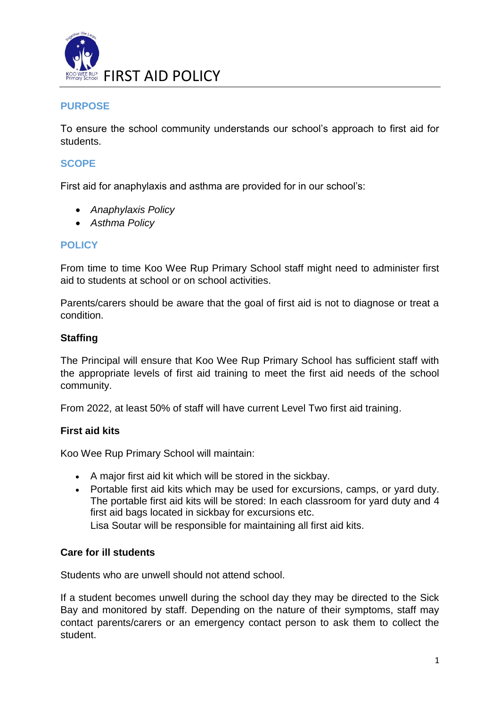

## **PURPOSE**

To ensure the school community understands our school's approach to first aid for students.

## **SCOPE**

First aid for anaphylaxis and asthma are provided for in our school's:

- *Anaphylaxis Policy*
- *Asthma Policy*

## **POLICY**

From time to time Koo Wee Rup Primary School staff might need to administer first aid to students at school or on school activities.

Parents/carers should be aware that the goal of first aid is not to diagnose or treat a condition.

## **Staffing**

The Principal will ensure that Koo Wee Rup Primary School has sufficient staff with the appropriate levels of first aid training to meet the first aid needs of the school community.

From 2022, at least 50% of staff will have current Level Two first aid training.

# **First aid kits**

Koo Wee Rup Primary School will maintain:

- A major first aid kit which will be stored in the sickbay.
- Portable first aid kits which may be used for excursions, camps, or yard duty. The portable first aid kits will be stored: In each classroom for yard duty and 4 first aid bags located in sickbay for excursions etc.

Lisa Soutar will be responsible for maintaining all first aid kits.

## **Care for ill students**

Students who are unwell should not attend school.

If a student becomes unwell during the school day they may be directed to the Sick Bay and monitored by staff. Depending on the nature of their symptoms, staff may contact parents/carers or an emergency contact person to ask them to collect the student.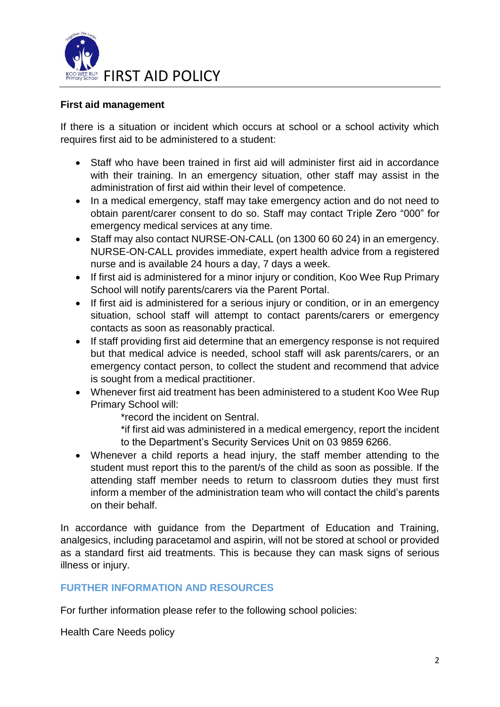

## **First aid management**

If there is a situation or incident which occurs at school or a school activity which requires first aid to be administered to a student:

- Staff who have been trained in first aid will administer first aid in accordance with their training. In an emergency situation, other staff may assist in the administration of first aid within their level of competence.
- In a medical emergency, staff may take emergency action and do not need to obtain parent/carer consent to do so. Staff may contact Triple Zero "000" for emergency medical services at any time.
- Staff may also contact NURSE-ON-CALL (on 1300 60 60 24) in an emergency. NURSE-ON-CALL provides immediate, expert health advice from a registered nurse and is available 24 hours a day, 7 days a week.
- If first aid is administered for a minor injury or condition, Koo Wee Rup Primary School will notify parents/carers via the Parent Portal.
- If first aid is administered for a serious injury or condition, or in an emergency situation, school staff will attempt to contact parents/carers or emergency contacts as soon as reasonably practical.
- If staff providing first aid determine that an emergency response is not required but that medical advice is needed, school staff will ask parents/carers, or an emergency contact person, to collect the student and recommend that advice is sought from a medical practitioner.
- Whenever first aid treatment has been administered to a student Koo Wee Rup Primary School will:
	- \*record the incident on Sentral.
	- \*if first aid was administered in a medical emergency, report the incident to the Department's Security Services Unit on 03 9859 6266.
- Whenever a child reports a head injury, the staff member attending to the student must report this to the parent/s of the child as soon as possible. If the attending staff member needs to return to classroom duties they must first inform a member of the administration team who will contact the child's parents on their behalf.

In accordance with guidance from the Department of Education and Training, analgesics, including paracetamol and aspirin, will not be stored at school or provided as a standard first aid treatments. This is because they can mask signs of serious illness or injury.

## **FURTHER INFORMATION AND RESOURCES**

For further information please refer to the following school policies:

Health Care Needs policy